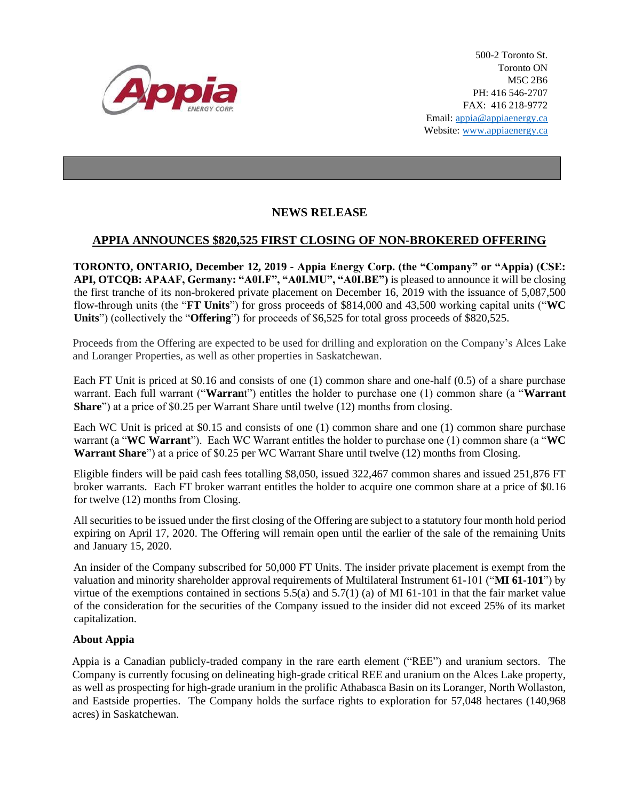

500-2 Toronto St. Toronto ON M5C 2B6 PH: 416 546-2707 FAX: 416 218-9772 Email: appia@appiaenergy.ca Website: www.appiaenergy.ca

## **NEWS RELEASE**

## **APPIA ANNOUNCES \$820,525 FIRST CLOSING OF NON-BROKERED OFFERING**

**TORONTO, ONTARIO, December 12, 2019 - Appia Energy Corp. (the "Company" or "Appia) (CSE: API, OTCQB: APAAF, Germany: "A0I.F", "A0I.MU", "A0I.BE")** is pleased to announce it will be closing the first tranche of its non-brokered private placement on December 16, 2019 with the issuance of 5,087,500 flow-through units (the "**FT Units**") for gross proceeds of \$814,000 and 43,500 working capital units ("**WC Units**") (collectively the "**Offering**") for proceeds of \$6,525 for total gross proceeds of \$820,525.

Proceeds from the Offering are expected to be used for drilling and exploration on the Company's Alces Lake and Loranger Properties, as well as other properties in Saskatchewan.

Each FT Unit is priced at \$0.16 and consists of one (1) common share and one-half (0.5) of a share purchase warrant. Each full warrant ("**Warran**t") entitles the holder to purchase one (1) common share (a "**Warrant Share**") at a price of \$0.25 per Warrant Share until twelve (12) months from closing.

Each WC Unit is priced at \$0.15 and consists of one (1) common share and one (1) common share purchase warrant (a "**WC Warrant**"). Each WC Warrant entitles the holder to purchase one (1) common share (a "**WC Warrant Share**") at a price of \$0.25 per WC Warrant Share until twelve (12) months from Closing.

Eligible finders will be paid cash fees totalling \$8,050, issued 322,467 common shares and issued 251,876 FT broker warrants. Each FT broker warrant entitles the holder to acquire one common share at a price of \$0.16 for twelve (12) months from Closing.

All securities to be issued under the first closing of the Offering are subject to a statutory four month hold period expiring on April 17, 2020. The Offering will remain open until the earlier of the sale of the remaining Units and January 15, 2020.

An insider of the Company subscribed for 50,000 FT Units. The insider private placement is exempt from the valuation and minority shareholder approval requirements of Multilateral Instrument 61-101 ("**MI 61-101**") by virtue of the exemptions contained in sections 5.5(a) and 5.7(1) (a) of MI 61-101 in that the fair market value of the consideration for the securities of the Company issued to the insider did not exceed 25% of its market capitalization.

## **About Appia**

Appia is a Canadian publicly-traded company in the rare earth element ("REE") and uranium sectors. The Company is currently focusing on delineating high-grade critical REE and uranium on the Alces Lake property, as well as prospecting for high-grade uranium in the prolific Athabasca Basin on its Loranger, North Wollaston, and Eastside properties. The Company holds the surface rights to exploration for 57,048 hectares (140,968 acres) in Saskatchewan.